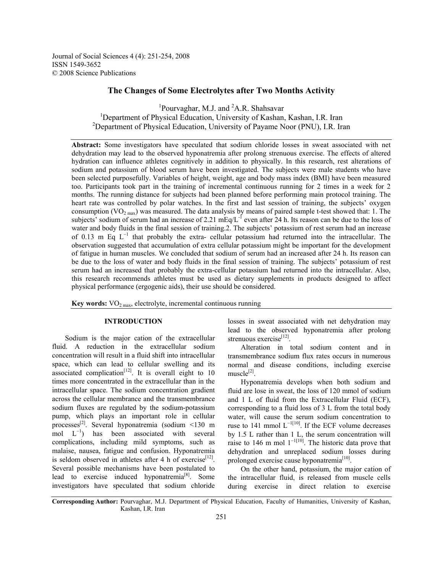Journal of Social Sciences 4 (4): 251-254, 2008 ISSN 1549-3652 © 2008 Science Publications

# **The Changes of Some Electrolytes after Two Months Activity**

<sup>1</sup>Pourvaghar, M.J. and <sup>2</sup>A.R. Shahsavar <sup>1</sup>Department of Physical Education, University of Kashan, Kashan, I.R. Iran <sup>2</sup>Department of Physical Education, University of Payame Noor (PNU), I.R. Iran

**Abstract:** Some investigators have speculated that sodium chloride losses in sweat associated with net dehydration may lead to the observed hyponatremia after prolong strenuous exercise. The effects of altered hydration can influence athletes cognitively in addition to physically. In this research, rest alterations of sodium and potassium of blood serum have been investigated. The subjects were male students who have been selected purposefully. Variables of height, weight, age and body mass index (BMI) have been measured too. Participants took part in the training of incremental continuous running for 2 times in a week for 2 months. The running distance for subjects had been planned before performing main protocol training. The heart rate was controlled by polar watches. In the first and last session of training, the subjects' oxygen consumption (VO<sub>2 max</sub>) was measured. The data analysis by means of paired sample t-test showed that: 1. The subjects' sodium of serum had an increase of 2.21 mEq/L<sup>-1</sup> even after 24 h. Its reason can be due to the loss of water and body fluids in the final session of training. 2. The subjects' potassium of rest serum had an increase of 0.13 m Eq  $L^{-1}$  that probably the extra- cellular potassium had returned into the intracellular. The observation suggested that accumulation of extra cellular potassium might be important for the development of fatigue in human muscles. We concluded that sodium of serum had an increased after 24 h. Its reason can be due to the loss of water and body fluids in the final session of training. The subjects' potassium of rest serum had an increased that probably the extra-cellular potassium had returned into the intracellular. Also, this research recommends athletes must be used as dietary supplements in products designed to affect physical performance (ergogenic aids), their use should be considered.

**Key words:**  $\text{VO}_{2\text{ max}}$ , electrolyte, incremental continuous running

#### **INTRODUCTION**

 Sodium is the major cation of the extracellular fluid. A reduction in the extracellular sodium concentration will result in a fluid shift into intracellular space, which can lead to cellular swelling and its associated complication<sup>[12]</sup>. It is overall eight to 10 times more concentrated in the extracellular than in the intracellular space. The sodium concentration gradient across the cellular membrance and the transmembrance sodium fluxes are regulated by the sodium-potassium pump, which plays an important role in cellular processes<sup>[2]</sup>. Several hyponatremia (sodium  $\leq$ 130 m mol  $L^{-1}$ ) has been associated with several complications, including mild symptoms, such as malaise, nausea, fatigue and confusion. Hyponatremia is seldom observed in athletes after 4 h of exercise<sup>[12]</sup>. Several possible mechanisms have been postulated to lead to exercise induced hyponatremia<sup>[8]</sup>. Some investigators have speculated that sodium chloride

losses in sweat associated with net dehydration may lead to the observed hyponatremia after prolong strenuous exercise<sup>[12]</sup>.

 Alteration in total sodium content and in transmembrance sodium flux rates occurs in numerous normal and disease conditions, including exercise  $muscle<sup>[2]</sup>$ .

 Hyponatremia develops when both sodium and fluid are lose in sweat, the loss of 120 mmol of sodium and 1 L of fluid from the Extracellular Fluid (ECF), corresponding to a fluid loss of 3 L from the total body water, will cause the serum sodium concentration to ruse to 141 mmol  $L^{-1[10]}$ . If the ECF volume decreases by 1.5 L rather than 1 L, the serum concentration will raise to 146 m mol  $1^{-1}$ [10]. The historic data prove that dehydration and unreplaced sodium losses during prolonged exercise cause hyponatremia<sup>[10]</sup>.

 On the other hand, potassium, the major cation of the intracellular fluid, is released from muscle cells during exercise in direct relation to exercise

**Corresponding Author:** Pourvaghar, M.J. Department of Physical Education, Faculty of Humanities, University of Kashan, Kashan, I.R. Iran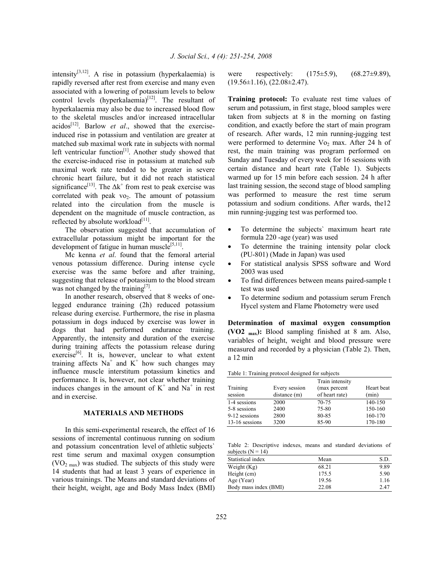intensity<sup>[3,12]</sup>. A rise in potassium (hyperkalaemia) is rapidly reversed after rest from exercise and many even associated with a lowering of potassium levels to below control levels (hyperkalaemia) $[12]$ . The resultant of hyperkalaemia may also be due to increased blood flow to the skeletal muscles and/or increased intracellular acidos[12]. Barlow *et al*., showed that the exerciseinduced rise in potassium and ventilation are greater at matched sub maximal work rate in subjects with normal left ventricular function $[1]$ . Another study showed that the exercise-induced rise in potassium at matched sub maximal work rate tended to be greater in severe chronic heart failure, but it did not reach statistical significance<sup>[13]</sup>. The  $\Delta k^+$  from rest to peak exercise was correlated with peak vo<sub>2</sub>. The amount of potassium related into the circulation from the muscle is dependent on the magnitude of muscle contraction, as reflected by absolute workload $[11]$ .

 The observation suggested that accumulation of extracellular potassium might be important for the development of fatigue in human muscle<sup>[5,11]</sup>.

 Mc kenna *et al*. found that the femoral arterial venous potassium difference. During intense cycle exercise was the same before and after training, suggesting that release of potassium to the blood stream was not changed by the training  $[7]$ .

 In another research, observed that 8 weeks of onelegged endurance training (2h) reduced potassium release during exercise. Furthermore, the rise in plasma potassium in dogs induced by exercise was lower in dogs that had performed endurance training. Apparently, the intensity and duration of the exercise during training affects the potassium release during exercise<sup>[6]</sup>. It is, however, unclear to what extent training affects  $Na^+$  and  $K^+$  how such changes may influence muscle interstitum potassium kinetics and performance. It is, however, not clear whether training induces changes in the amount of  $K^+$  and  $Na^+$  in rest and in exercise.

## **MATERIALS AND METHODS**

 In this semi-experimental research, the effect of 16 sessions of incremental continuous running on sodium and potassium concentration level of athletic subjects` rest time serum and maximal oxygen consumption  $(VO<sub>2 max</sub>)$  was studied. The subjects of this study were 14 students that had at least 3 years of experience in various trainings. The Means and standard deviations of their height, weight, age and Body Mass Index (BMI)

were respectively:  $(175\pm5.9)$ ,  $(68.27\pm9.89)$ ,  $(19.56\pm1.16), (22.08\pm2.47).$ 

**Training protocol:** To evaluate rest time values of serum and potassium, in first stage, blood samples were taken from subjects at 8 in the morning on fasting condition, and exactly before the start of main program of research. After wards, 12 min running-jugging test were performed to determine Vo<sub>2</sub> max. After 24 h of rest, the main training was program performed on Sunday and Tuesday of every week for 16 sessions with certain distance and heart rate (Table 1). Subjects warmed up for 15 min before each session. 24 h after last training session, the second stage of blood sampling was performed to measure the rest time serum potassium and sodium conditions. After wards, the12 min running-jugging test was performed too.

- To determine the subjects` maximum heart rate formula 220 -age (year) was used
- To determine the training intensity polar clock (PU-801) (Made in Japan) was used
- For statistical analysis SPSS software and Word 2003 was used
- To find differences between means paired-sample t test was used
- To determine sodium and potassium serum French Hycel system and Flame Photometry were used

**Determination of maximal oxygen consumption (VO2 max):** Blood sampling finished at 8 am. Also, variables of height, weight and blood pressure were measured and recorded by a physician (Table 2). Then, a 12 min

Table 1: Training protocol designed for subjects

|                |               | Train intensity | Heart beat |  |
|----------------|---------------|-----------------|------------|--|
| Training       | Every session | (max percent    |            |  |
| session        | distance(m)   | of heart rate)  | (min)      |  |
| 1-4 sessions   | 2000          | 70-75           | 140-150    |  |
| 5-8 sessions   | 2400          | 75-80           | 150-160    |  |
| 9-12 sessions  | 2800          | 80-85           | 160-170    |  |
| 13-16 sessions | 3200          | 85-90           | 170-180    |  |
|                |               |                 |            |  |

Table 2: Descriptive indexes, means and standard deviations of subjects  $(N = 14)$ 

| Statistical index     | Mean  | S.D  |
|-----------------------|-------|------|
| Weight (Kg)           | 68.21 | 9.89 |
| Height (cm)           | 175.5 | 5.90 |
| Age (Year)            | 19.56 | 1.16 |
| Body mass index (BMI) | 22.08 | 2.47 |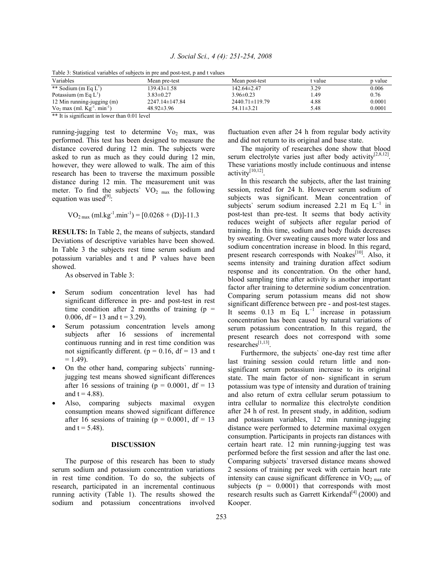| J. Social Sci., 4 (4): 251-254, 2008 |  |
|--------------------------------------|--|
|--------------------------------------|--|

| Table 5. Statistical variables of subjects in the and post-test, p and I values |                      |                      |         |         |  |  |  |
|---------------------------------------------------------------------------------|----------------------|----------------------|---------|---------|--|--|--|
| Variables                                                                       | Mean pre-test        | Mean post-test       | t value | p value |  |  |  |
| ** Sodium (m Eq $L^1$ )                                                         | 139.43±1.58          | 142.64±2.47          | 3.29    | 0.006   |  |  |  |
| Potassium (m Eq $L^1$ )                                                         | $3.83 \pm 0.27$      | $3.96 \pm 0.23$      | 49،     | 0.76    |  |  |  |
| 12 Min running-jugging (m)                                                      | $2247.14 \pm 147.84$ | $2440.71 \pm 119.79$ | 4.88    | 0.0001  |  |  |  |
| $\sqrt{V_{02}}$ max (ml. $\text{Kg}^{-1}$ . min <sup>-1</sup> )                 | $48.92 \pm 3.96$     | $54.11 \pm 3.21$     | 5.48    | 0.0001  |  |  |  |

Table 3: Statistical variables of subjects in pre and post-test, p and t values

\*\* It is significant in lower than 0.01 level

running-jugging test to determine  $Vo_2$  max, was performed. This test has been designed to measure the distance covered during 12 min. The subjects were asked to run as much as they could during 12 min, however, they were allowed to walk. The aim of this research has been to traverse the maximum possible distance during 12 min. The measurement unit was meter. To find the subjects'  $VO<sub>2 max</sub>$  the following equation was used<sup>[9]</sup>:

$$
VO2 max (ml.kg-1.min-1) = [0.0268 + (D)]-11.3
$$

**RESULTS:** In Table 2, the means of subjects, standard Deviations of descriptive variables have been showed. In Table 3 the subjects rest time serum sodium and potassium variables and t and P values have been showed.

As observed in Table 3:

- Serum sodium concentration level has had significant difference in pre- and post-test in rest time condition after 2 months of training  $(p =$ 0.006, df = 13 and t = 3.29).
- Serum potassium concentration levels among subjects after 16 sessions of incremental continuous running and in rest time condition was not significantly different. ( $p = 0.16$ , df = 13 and t  $= 1.49$ ).
- On the other hand, comparing subjects` runningjugging test means showed significant differences after 16 sessions of training ( $p = 0.0001$ , df = 13 and  $t = 4.88$ ).
- Also, comparing subjects maximal oxygen consumption means showed significant difference after 16 sessions of training ( $p = 0.0001$ , df = 13 and  $t = 5.48$ ).

#### **DISCUSSION**

 The purpose of this research has been to study serum sodium and potassium concentration variations in rest time condition. To do so, the subjects of research, participated in an incremental continuous running activity (Table 1). The results showed the sodium and potassium concentrations involved

fluctuation even after 24 h from regular body activity and did not return to its original and base state.

 The majority of researches done show that blood serum electrolyte varies just after body activity<sup>[2,8,12]</sup>. These variations mostly include continuous and intense activity $[10,12]$ .

 In this research the subjects, after the last training session, rested for 24 h. However serum sodium of subjects was significant. Mean concentration of subjects` serum sodium increased 2.21 m Eq  $L^{-1}$  in post-test than pre-test. It seems that body activity reduces weight of subjects after regular period of training. In this time, sodium and body fluids decreases by sweating. Over sweating causes more water loss and sodium concentration increase in blood. In this regard, present research corresponds with Noakes<sup>[10]</sup>. Also, it seems intensity and training duration affect sodium response and its concentration. On the other hand, blood sampling time after activity is another important factor after training to determine sodium concentration. Comparing serum potassium means did not show significant difference between pre - and post-test stages. It seems 0.13 m Eq  $L^{-1}$  increase in potassium concentration has been caused by natural variations of serum potassium concentration. In this regard, the present research does not correspond with some  $researches^{[1,13]}$ .

 Furthermore, the subjects` one-day rest time after last training session could return little and nonsignificant serum potassium increase to its original state. The main factor of non- significant in serum potassium was type of intensity and duration of training and also return of extra cellular serum potassium to intra cellular to normalize this electrolyte condition after 24 h of rest. In present study, in addition, sodium and potassium variables, 12 min running-jugging distance were performed to determine maximal oxygen consumption. Participants in projects ran distances with certain heart rate. 12 min running-jugging test was performed before the first session and after the last one. Comparing subjects` traversed distance means showed 2 sessions of training per week with certain heart rate intensity can cause significant difference in  $VO<sub>2 max</sub>$  of subjects ( $p = 0.0001$ ) that corresponds with most research results such as Garrett Kirkendal<sup>[4]</sup> (2000) and Kooper.